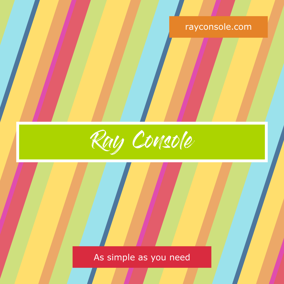# rayconsole.com



# As simple as you need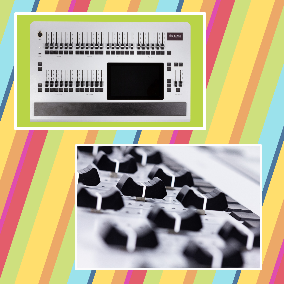

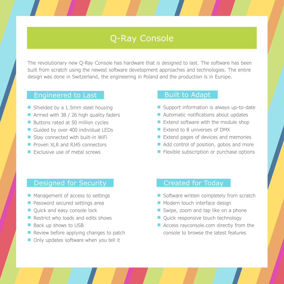## Q-Ray Console

The revolutionary new Q-Ray Console has hardware that is designed to last. The software has been built from scratch using the newest software development approaches and technologies. The entire design was done in Switzerland, the engineering in Poland and the production is in Europe.

#### Engineered to Last

- **Shielded by a 1.5mm steel housing**
- Armed with 38 / 26 high quality faders
- Buttons rated at 50 million cycles
- Guided by over 400 individual LEDs
- Stay connected with built-in WiFi
- **Proven XLR and R145 connectors**
- **Exclusive use of metal screws**

### Built to Adapt

- Support information is always up-to-date
- Automatic notifications about updates
- $\blacksquare$  Extend software with the module shop
- **Extend to 8 universes of DMX**
- Extend pages of devices and memories
- Add control of position, gobos and more
- **Filexible subscription or purchase options**

### Designed for Security

- **Management of access to settings**
- **Password secured settings area**
- **Quick and easy console lock**
- Restrict who loads and edits shows
- Back up shows to USB
- $\blacksquare$  Review before applying changes to patch
- Only updates software when you tell it

### Created for Today

- Software written completely from scratch
- Modern touch interface design
- Swipe, zoom and tap like on a phone
- **Quick responsive touch technology**
- Access rayconsole.com directly from the console to browse the latest features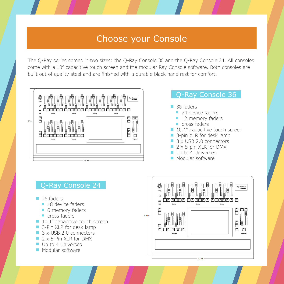### Choose your Console

The Q-Ray series comes in two sizes: the Q-Ray Console 36 and the Q-Ray Console 24. All consoles come with a 10" capacitive touch screen and the modular Ray Console software. Both consoles are built out of quality steel and are finished with a durable black hand rest for comfort.



### Q-Ray Console 24

- $\Box$  26 faders
	- 18 device faders
	- 6 memory faders
	- **Cross faders**
- 10.1" capacitive touch screen
- 3-Pin XLR for desk lamp
- $\blacksquare$  3 x USB 2.0 connectors
- $\Box$  2 x 5-Pin XLR for DMX
- Up to 4 Universes
- **Modular software**

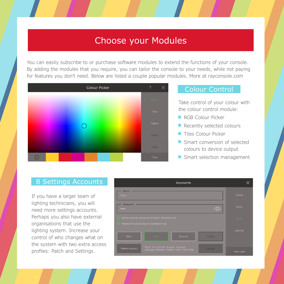### Choose your Modules

You can easily subscribe to or purchase software modules to extend the functions of your console. By adding the modules that you require, you can tailor the console to your needs, while not paying for features you don't need. Below are listed a couple popular modules. More at rayconsole.com



### Colour Control

Take control of your colour with the colour control module:

- **RGB Colour Picker**
- Recently selected colours
- **Tiles Colour Picker**
- **Smart conversion of selected** colours to device output
- **Smart selection management**

### 8 Settings Accounts

If you have a larger team of lighting technicians, you will need more settings accounts. Perhaps you also have external organisations that use the lighting system. Increase your control of who changes what on the system with two extra access profiles: Patch and Settings.